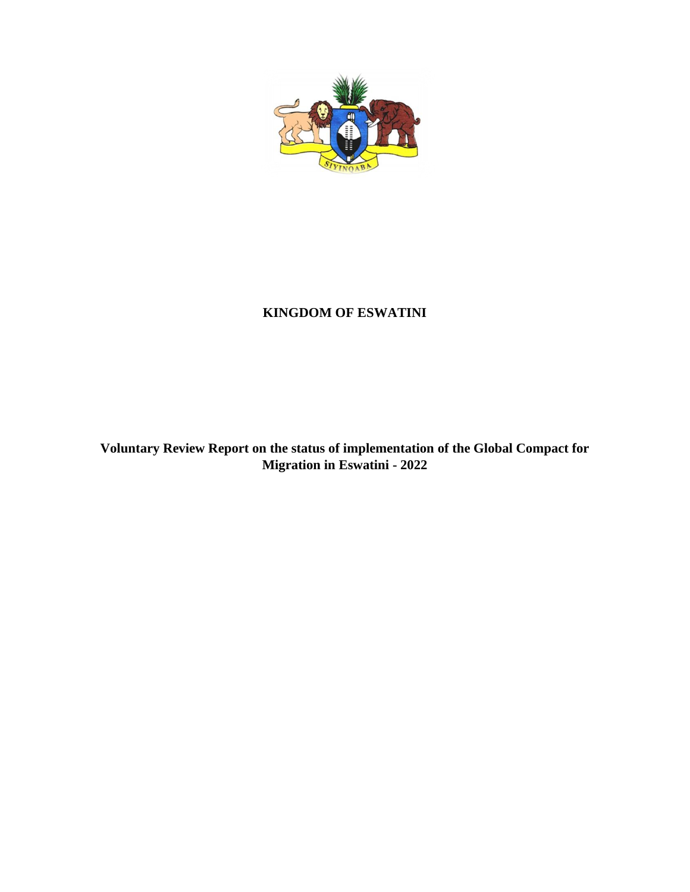

# **KINGDOM OF ESWATINI**

**Voluntary Review Report on the status of implementation of the Global Compact for Migration in Eswatini - 2022**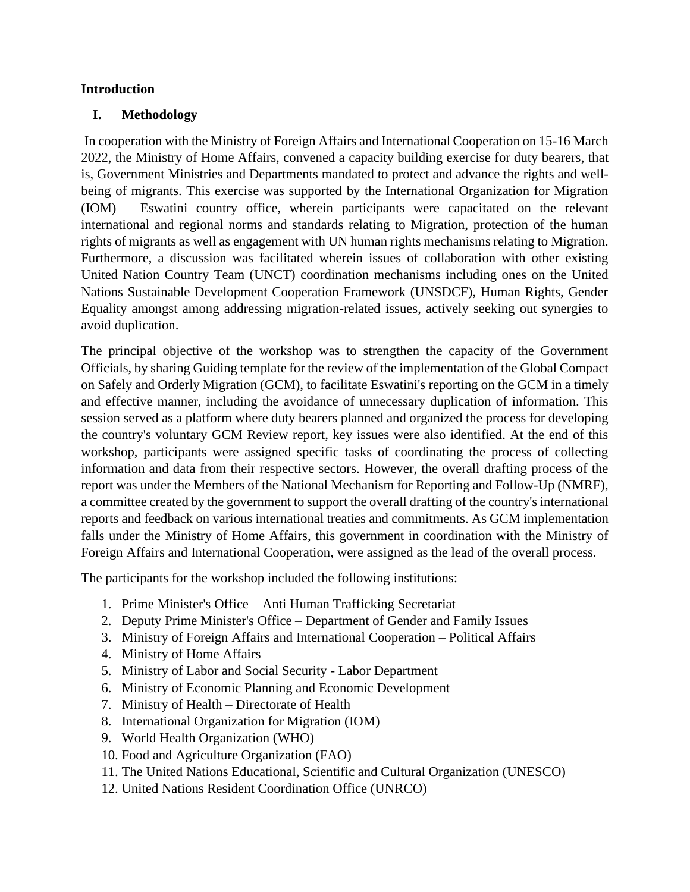#### **Introduction**

#### **I. Methodology**

In cooperation with the Ministry of Foreign Affairs and International Cooperation on 15-16 March 2022, the Ministry of Home Affairs, convened a capacity building exercise for duty bearers, that is, Government Ministries and Departments mandated to protect and advance the rights and wellbeing of migrants. This exercise was supported by the International Organization for Migration (IOM) – Eswatini country office, wherein participants were capacitated on the relevant international and regional norms and standards relating to Migration, protection of the human rights of migrants as well as engagement with UN human rights mechanisms relating to Migration. Furthermore, a discussion was facilitated wherein issues of collaboration with other existing United Nation Country Team (UNCT) coordination mechanisms including ones on the United Nations Sustainable Development Cooperation Framework (UNSDCF), Human Rights, Gender Equality amongst among addressing migration-related issues, actively seeking out synergies to avoid duplication.

The principal objective of the workshop was to strengthen the capacity of the Government Officials, by sharing Guiding template for the review of the implementation of the Global Compact on Safely and Orderly Migration (GCM), to facilitate Eswatini's reporting on the GCM in a timely and effective manner, including the avoidance of unnecessary duplication of information. This session served as a platform where duty bearers planned and organized the process for developing the country's voluntary GCM Review report, key issues were also identified. At the end of this workshop, participants were assigned specific tasks of coordinating the process of collecting information and data from their respective sectors. However, the overall drafting process of the report was under the Members of the National Mechanism for Reporting and Follow-Up (NMRF), a committee created by the government to support the overall drafting of the country's international reports and feedback on various international treaties and commitments. As GCM implementation falls under the Ministry of Home Affairs, this government in coordination with the Ministry of Foreign Affairs and International Cooperation, were assigned as the lead of the overall process.

The participants for the workshop included the following institutions:

- 1. Prime Minister's Office Anti Human Trafficking Secretariat
- 2. Deputy Prime Minister's Office Department of Gender and Family Issues
- 3. Ministry of Foreign Affairs and International Cooperation Political Affairs
- 4. Ministry of Home Affairs
- 5. Ministry of Labor and Social Security Labor Department
- 6. Ministry of Economic Planning and Economic Development
- 7. Ministry of Health Directorate of Health
- 8. International Organization for Migration (IOM)
- 9. World Health Organization (WHO)
- 10. Food and Agriculture Organization (FAO)
- 11. The United Nations Educational, Scientific and Cultural Organization (UNESCO)
- 12. United Nations Resident Coordination Office (UNRCO)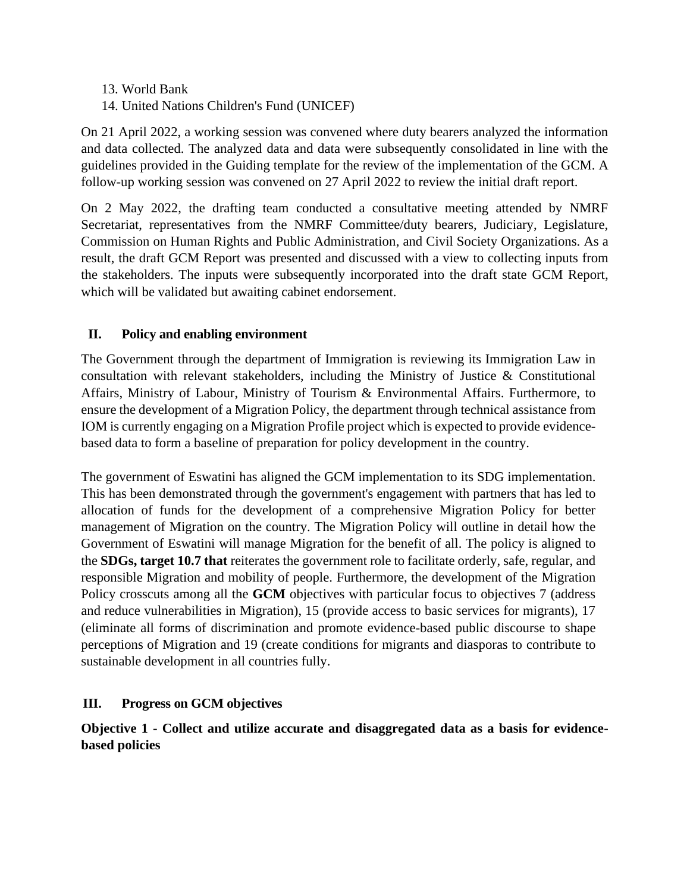- 13. World Bank
- 14. United Nations Children's Fund (UNICEF)

On 21 April 2022, a working session was convened where duty bearers analyzed the information and data collected. The analyzed data and data were subsequently consolidated in line with the guidelines provided in the Guiding template for the review of the implementation of the GCM. A follow-up working session was convened on 27 April 2022 to review the initial draft report.

On 2 May 2022, the drafting team conducted a consultative meeting attended by NMRF Secretariat, representatives from the NMRF Committee/duty bearers, Judiciary, Legislature, Commission on Human Rights and Public Administration, and Civil Society Organizations. As a result, the draft GCM Report was presented and discussed with a view to collecting inputs from the stakeholders. The inputs were subsequently incorporated into the draft state GCM Report, which will be validated but awaiting cabinet endorsement.

#### **II. Policy and enabling environment**

The Government through the department of Immigration is reviewing its Immigration Law in consultation with relevant stakeholders, including the Ministry of Justice & Constitutional Affairs, Ministry of Labour, Ministry of Tourism & Environmental Affairs. Furthermore, to ensure the development of a Migration Policy, the department through technical assistance from IOM is currently engaging on a Migration Profile project which is expected to provide evidencebased data to form a baseline of preparation for policy development in the country.

The government of Eswatini has aligned the GCM implementation to its SDG implementation. This has been demonstrated through the government's engagement with partners that has led to allocation of funds for the development of a comprehensive Migration Policy for better management of Migration on the country. The Migration Policy will outline in detail how the Government of Eswatini will manage Migration for the benefit of all. The policy is aligned to the **SDGs, target 10.7 that** reiterates the government role to facilitate orderly, safe, regular, and responsible Migration and mobility of people. Furthermore, the development of the Migration Policy crosscuts among all the **GCM** objectives with particular focus to objectives 7 (address and reduce vulnerabilities in Migration), 15 (provide access to basic services for migrants), 17 (eliminate all forms of discrimination and promote evidence-based public discourse to shape perceptions of Migration and 19 (create conditions for migrants and diasporas to contribute to sustainable development in all countries fully.

#### **III. Progress on GCM objectives**

**Objective 1 - Collect and utilize accurate and disaggregated data as a basis for evidencebased policies**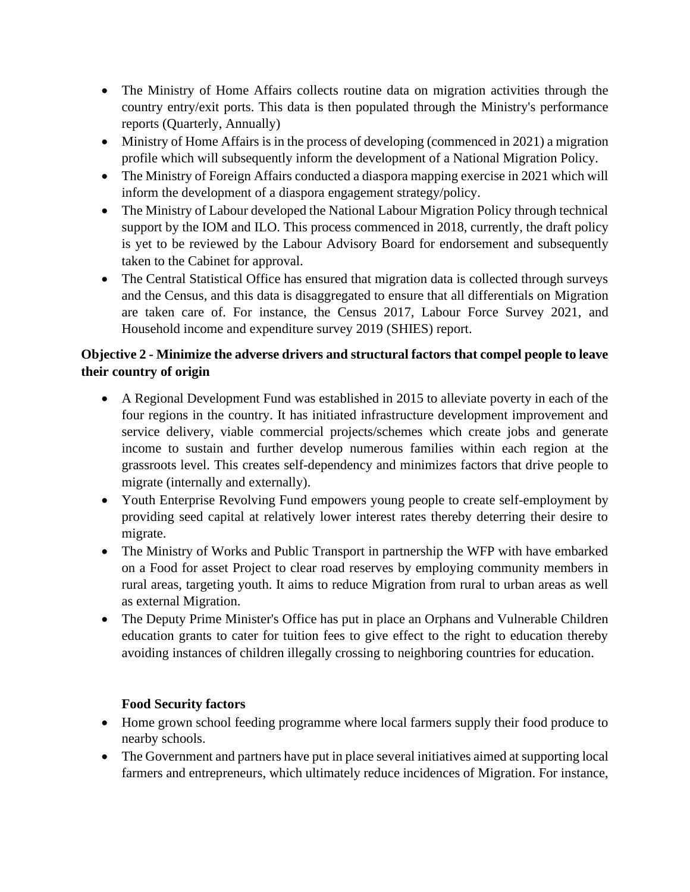- The Ministry of Home Affairs collects routine data on migration activities through the country entry/exit ports. This data is then populated through the Ministry's performance reports (Quarterly, Annually)
- Ministry of Home Affairs is in the process of developing (commenced in 2021) a migration profile which will subsequently inform the development of a National Migration Policy.
- The Ministry of Foreign Affairs conducted a diaspora mapping exercise in 2021 which will inform the development of a diaspora engagement strategy/policy.
- The Ministry of Labour developed the National Labour Migration Policy through technical support by the IOM and ILO. This process commenced in 2018, currently, the draft policy is yet to be reviewed by the Labour Advisory Board for endorsement and subsequently taken to the Cabinet for approval.
- The Central Statistical Office has ensured that migration data is collected through surveys and the Census, and this data is disaggregated to ensure that all differentials on Migration are taken care of. For instance, the Census 2017, Labour Force Survey 2021, and Household income and expenditure survey 2019 (SHIES) report.

## **Objective 2 - Minimize the adverse drivers and structural factors that compel people to leave their country of origin**

- A Regional Development Fund was established in 2015 to alleviate poverty in each of the four regions in the country. It has initiated infrastructure development improvement and service delivery, viable commercial projects/schemes which create jobs and generate income to sustain and further develop numerous families within each region at the grassroots level. This creates self-dependency and minimizes factors that drive people to migrate (internally and externally).
- Youth Enterprise Revolving Fund empowers young people to create self-employment by providing seed capital at relatively lower interest rates thereby deterring their desire to migrate.
- The Ministry of Works and Public Transport in partnership the WFP with have embarked on a Food for asset Project to clear road reserves by employing community members in rural areas, targeting youth. It aims to reduce Migration from rural to urban areas as well as external Migration.
- The Deputy Prime Minister's Office has put in place an Orphans and Vulnerable Children education grants to cater for tuition fees to give effect to the right to education thereby avoiding instances of children illegally crossing to neighboring countries for education.

## **Food Security factors**

- Home grown school feeding programme where local farmers supply their food produce to nearby schools.
- The Government and partners have put in place several initiatives aimed at supporting local farmers and entrepreneurs, which ultimately reduce incidences of Migration. For instance,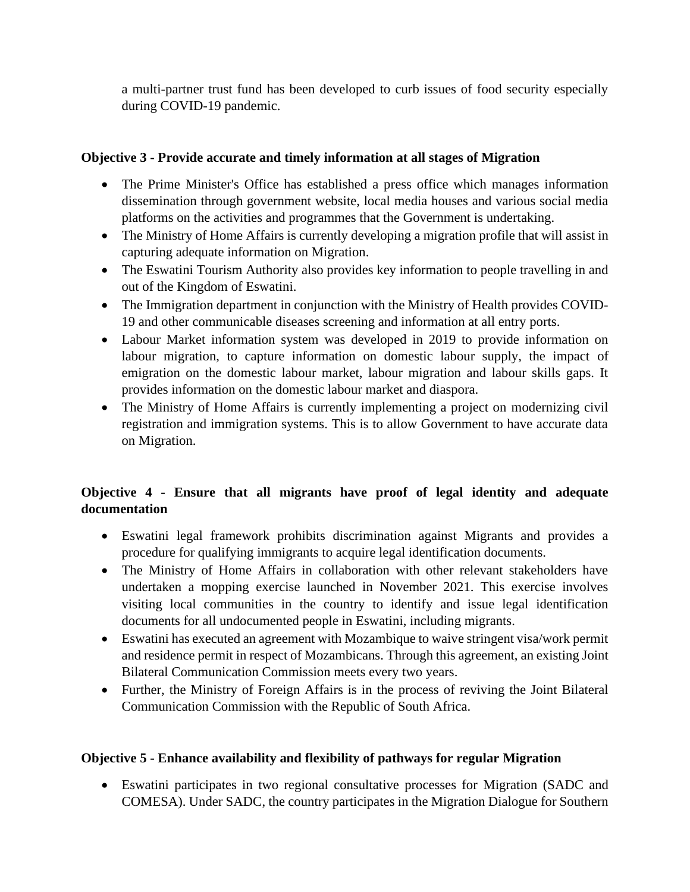a multi-partner trust fund has been developed to curb issues of food security especially during COVID-19 pandemic.

## **Objective 3 - Provide accurate and timely information at all stages of Migration**

- The Prime Minister's Office has established a press office which manages information dissemination through government website, local media houses and various social media platforms on the activities and programmes that the Government is undertaking.
- The Ministry of Home Affairs is currently developing a migration profile that will assist in capturing adequate information on Migration.
- The Eswatini Tourism Authority also provides key information to people travelling in and out of the Kingdom of Eswatini.
- The Immigration department in conjunction with the Ministry of Health provides COVID-19 and other communicable diseases screening and information at all entry ports.
- Labour Market information system was developed in 2019 to provide information on labour migration, to capture information on domestic labour supply, the impact of emigration on the domestic labour market, labour migration and labour skills gaps. It provides information on the domestic labour market and diaspora.
- The Ministry of Home Affairs is currently implementing a project on modernizing civil registration and immigration systems. This is to allow Government to have accurate data on Migration.

## **Objective 4 - Ensure that all migrants have proof of legal identity and adequate documentation**

- Eswatini legal framework prohibits discrimination against Migrants and provides a procedure for qualifying immigrants to acquire legal identification documents.
- The Ministry of Home Affairs in collaboration with other relevant stakeholders have undertaken a mopping exercise launched in November 2021. This exercise involves visiting local communities in the country to identify and issue legal identification documents for all undocumented people in Eswatini, including migrants.
- Eswatini has executed an agreement with Mozambique to waive stringent visa/work permit and residence permit in respect of Mozambicans. Through this agreement, an existing Joint Bilateral Communication Commission meets every two years.
- Further, the Ministry of Foreign Affairs is in the process of reviving the Joint Bilateral Communication Commission with the Republic of South Africa.

## **Objective 5 - Enhance availability and flexibility of pathways for regular Migration**

• Eswatini participates in two regional consultative processes for Migration (SADC and COMESA). Under SADC, the country participates in the Migration Dialogue for Southern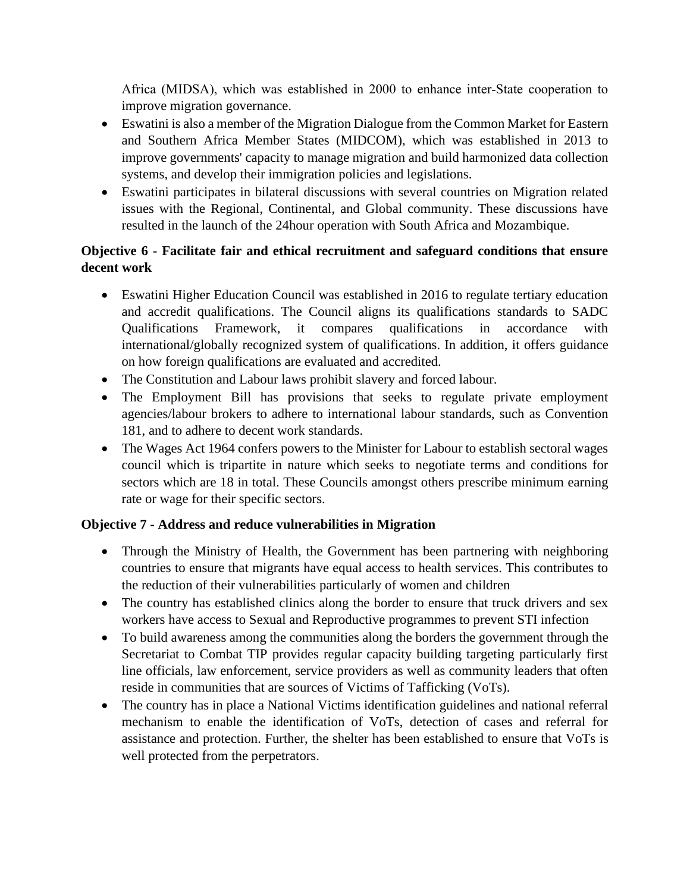Africa (MIDSA), which was established in 2000 to enhance inter‐State cooperation to improve migration governance.

- Eswatini is also a member of the Migration Dialogue from the Common Market for Eastern and Southern Africa Member States (MIDCOM), which was established in 2013 to improve governments' capacity to manage migration and build harmonized data collection systems, and develop their immigration policies and legislations.
- Eswatini participates in bilateral discussions with several countries on Migration related issues with the Regional, Continental, and Global community. These discussions have resulted in the launch of the 24hour operation with South Africa and Mozambique.

## **Objective 6 - Facilitate fair and ethical recruitment and safeguard conditions that ensure decent work**

- Eswatini Higher Education Council was established in 2016 to regulate tertiary education and accredit qualifications. The Council aligns its qualifications standards to SADC Qualifications Framework, it compares qualifications in accordance with international/globally recognized system of qualifications. In addition, it offers guidance on how foreign qualifications are evaluated and accredited.
- The Constitution and Labour laws prohibit slavery and forced labour.
- The Employment Bill has provisions that seeks to regulate private employment agencies/labour brokers to adhere to international labour standards, such as Convention 181, and to adhere to decent work standards.
- The Wages Act 1964 confers powers to the Minister for Labour to establish sectoral wages council which is tripartite in nature which seeks to negotiate terms and conditions for sectors which are 18 in total. These Councils amongst others prescribe minimum earning rate or wage for their specific sectors.

## **Objective 7 - Address and reduce vulnerabilities in Migration**

- Through the Ministry of Health, the Government has been partnering with neighboring countries to ensure that migrants have equal access to health services. This contributes to the reduction of their vulnerabilities particularly of women and children
- The country has established clinics along the border to ensure that truck drivers and sex workers have access to Sexual and Reproductive programmes to prevent STI infection
- To build awareness among the communities along the borders the government through the Secretariat to Combat TIP provides regular capacity building targeting particularly first line officials, law enforcement, service providers as well as community leaders that often reside in communities that are sources of Victims of Tafficking (VoTs).
- The country has in place a National Victims identification guidelines and national referral mechanism to enable the identification of VoTs, detection of cases and referral for assistance and protection. Further, the shelter has been established to ensure that VoTs is well protected from the perpetrators.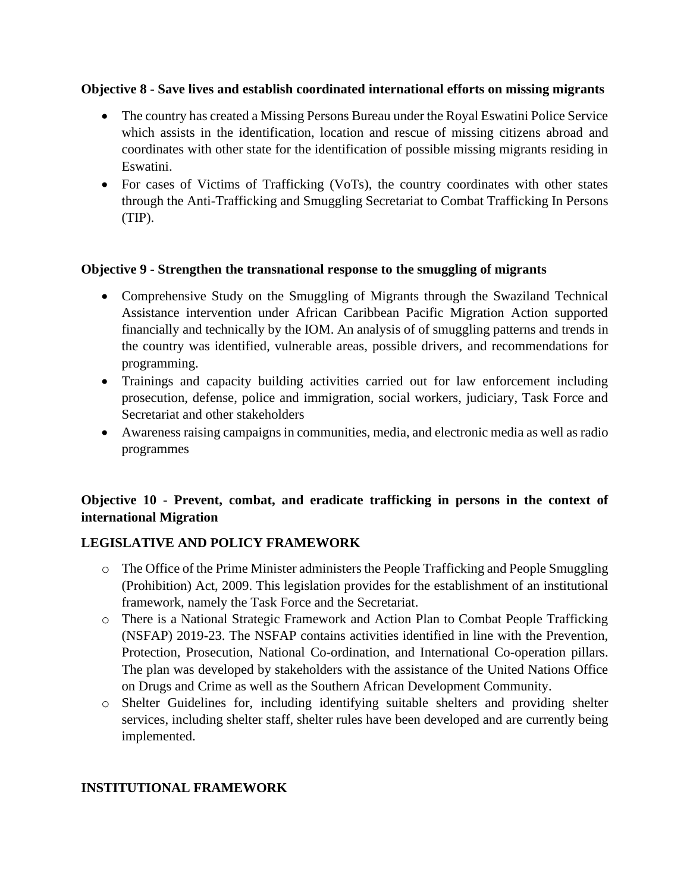#### **Objective 8 - Save lives and establish coordinated international efforts on missing migrants**

- The country has created a Missing Persons Bureau under the Royal Eswatini Police Service which assists in the identification, location and rescue of missing citizens abroad and coordinates with other state for the identification of possible missing migrants residing in Eswatini.
- For cases of Victims of Trafficking (VoTs), the country coordinates with other states through the Anti-Trafficking and Smuggling Secretariat to Combat Trafficking In Persons (TIP).

#### **Objective 9 - Strengthen the transnational response to the smuggling of migrants**

- Comprehensive Study on the Smuggling of Migrants through the Swaziland Technical Assistance intervention under African Caribbean Pacific Migration Action supported financially and technically by the IOM. An analysis of of smuggling patterns and trends in the country was identified, vulnerable areas, possible drivers, and recommendations for programming.
- Trainings and capacity building activities carried out for law enforcement including prosecution, defense, police and immigration, social workers, judiciary, Task Force and Secretariat and other stakeholders
- Awareness raising campaigns in communities, media, and electronic media as well as radio programmes

## **Objective 10 - Prevent, combat, and eradicate trafficking in persons in the context of international Migration**

#### **LEGISLATIVE AND POLICY FRAMEWORK**

- o The Office of the Prime Minister administers the People Trafficking and People Smuggling (Prohibition) Act, 2009. This legislation provides for the establishment of an institutional framework, namely the Task Force and the Secretariat.
- o There is a National Strategic Framework and Action Plan to Combat People Trafficking (NSFAP) 2019-23. The NSFAP contains activities identified in line with the Prevention, Protection, Prosecution, National Co-ordination, and International Co-operation pillars. The plan was developed by stakeholders with the assistance of the United Nations Office on Drugs and Crime as well as the Southern African Development Community.
- o Shelter Guidelines for, including identifying suitable shelters and providing shelter services, including shelter staff, shelter rules have been developed and are currently being implemented.

#### **INSTITUTIONAL FRAMEWORK**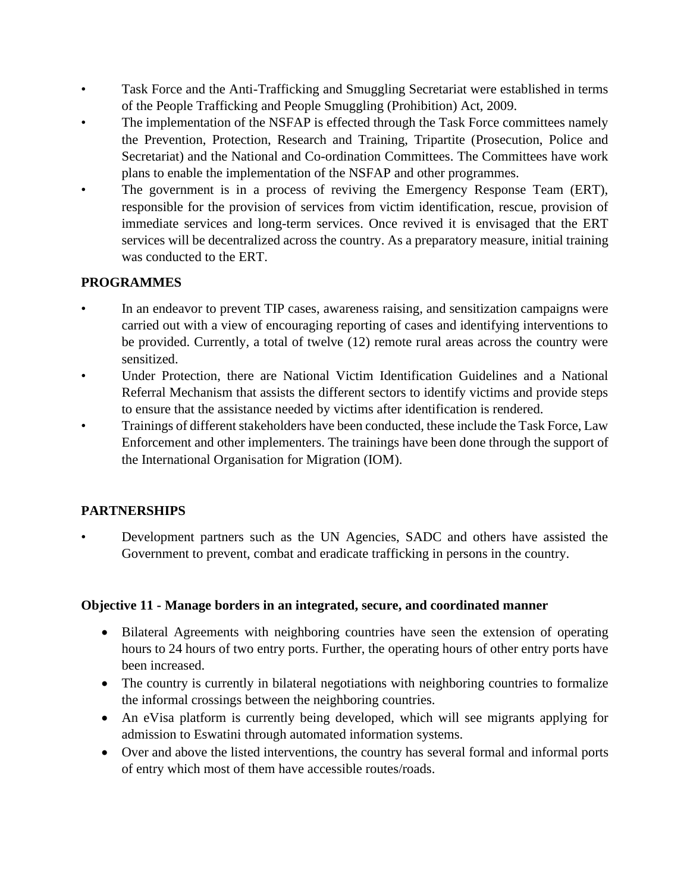- Task Force and the Anti-Trafficking and Smuggling Secretariat were established in terms of the People Trafficking and People Smuggling (Prohibition) Act, 2009.
- The implementation of the NSFAP is effected through the Task Force committees namely the Prevention, Protection, Research and Training, Tripartite (Prosecution, Police and Secretariat) and the National and Co-ordination Committees. The Committees have work plans to enable the implementation of the NSFAP and other programmes.
- The government is in a process of reviving the Emergency Response Team (ERT), responsible for the provision of services from victim identification, rescue, provision of immediate services and long-term services. Once revived it is envisaged that the ERT services will be decentralized across the country. As a preparatory measure, initial training was conducted to the ERT.

## **PROGRAMMES**

- In an endeavor to prevent TIP cases, awareness raising, and sensitization campaigns were carried out with a view of encouraging reporting of cases and identifying interventions to be provided. Currently, a total of twelve (12) remote rural areas across the country were sensitized.
- Under Protection, there are National Victim Identification Guidelines and a National Referral Mechanism that assists the different sectors to identify victims and provide steps to ensure that the assistance needed by victims after identification is rendered.
- Trainings of different stakeholders have been conducted, these include the Task Force, Law Enforcement and other implementers. The trainings have been done through the support of the International Organisation for Migration (IOM).

#### **PARTNERSHIPS**

• Development partners such as the UN Agencies, SADC and others have assisted the Government to prevent, combat and eradicate trafficking in persons in the country.

#### **Objective 11 - Manage borders in an integrated, secure, and coordinated manner**

- Bilateral Agreements with neighboring countries have seen the extension of operating hours to 24 hours of two entry ports. Further, the operating hours of other entry ports have been increased.
- The country is currently in bilateral negotiations with neighboring countries to formalize the informal crossings between the neighboring countries.
- An eVisa platform is currently being developed, which will see migrants applying for admission to Eswatini through automated information systems.
- Over and above the listed interventions, the country has several formal and informal ports of entry which most of them have accessible routes/roads.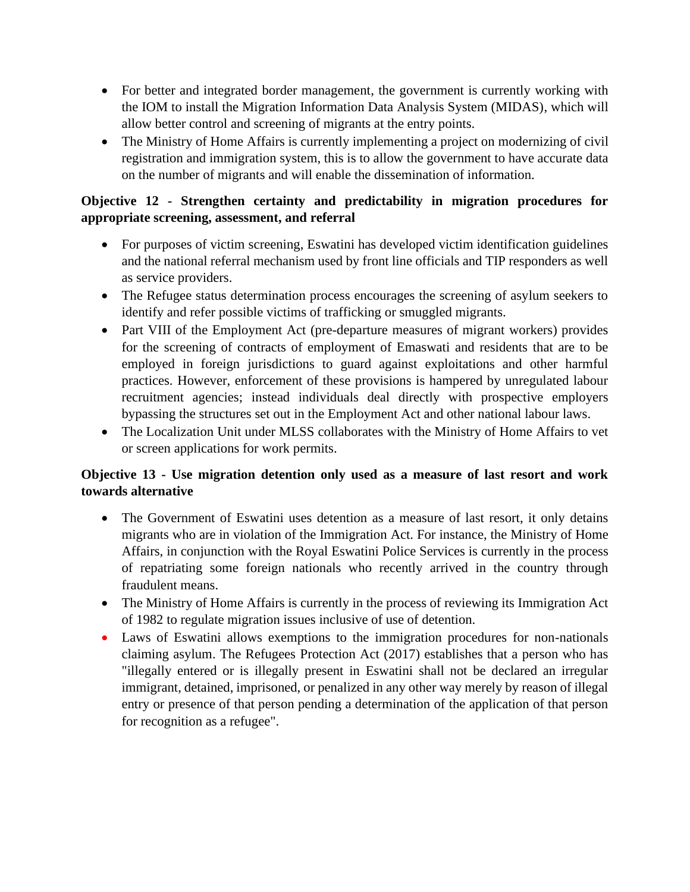- For better and integrated border management, the government is currently working with the IOM to install the Migration Information Data Analysis System (MIDAS), which will allow better control and screening of migrants at the entry points.
- The Ministry of Home Affairs is currently implementing a project on modernizing of civil registration and immigration system, this is to allow the government to have accurate data on the number of migrants and will enable the dissemination of information.

## **Objective 12 - Strengthen certainty and predictability in migration procedures for appropriate screening, assessment, and referral**

- For purposes of victim screening, Eswatini has developed victim identification guidelines and the national referral mechanism used by front line officials and TIP responders as well as service providers.
- The Refugee status determination process encourages the screening of asylum seekers to identify and refer possible victims of trafficking or smuggled migrants.
- Part VIII of the Employment Act (pre-departure measures of migrant workers) provides for the screening of contracts of employment of Emaswati and residents that are to be employed in foreign jurisdictions to guard against exploitations and other harmful practices. However, enforcement of these provisions is hampered by unregulated labour recruitment agencies; instead individuals deal directly with prospective employers bypassing the structures set out in the Employment Act and other national labour laws.
- The Localization Unit under MLSS collaborates with the Ministry of Home Affairs to vet or screen applications for work permits.

## **Objective 13 - Use migration detention only used as a measure of last resort and work towards alternative**

- The Government of Eswatini uses detention as a measure of last resort, it only detains migrants who are in violation of the Immigration Act. For instance, the Ministry of Home Affairs, in conjunction with the Royal Eswatini Police Services is currently in the process of repatriating some foreign nationals who recently arrived in the country through fraudulent means.
- The Ministry of Home Affairs is currently in the process of reviewing its Immigration Act of 1982 to regulate migration issues inclusive of use of detention.
- Laws of Eswatini allows exemptions to the immigration procedures for non-nationals claiming asylum. The Refugees Protection Act (2017) establishes that a person who has "illegally entered or is illegally present in Eswatini shall not be declared an irregular immigrant, detained, imprisoned, or penalized in any other way merely by reason of illegal entry or presence of that person pending a determination of the application of that person for recognition as a refugee".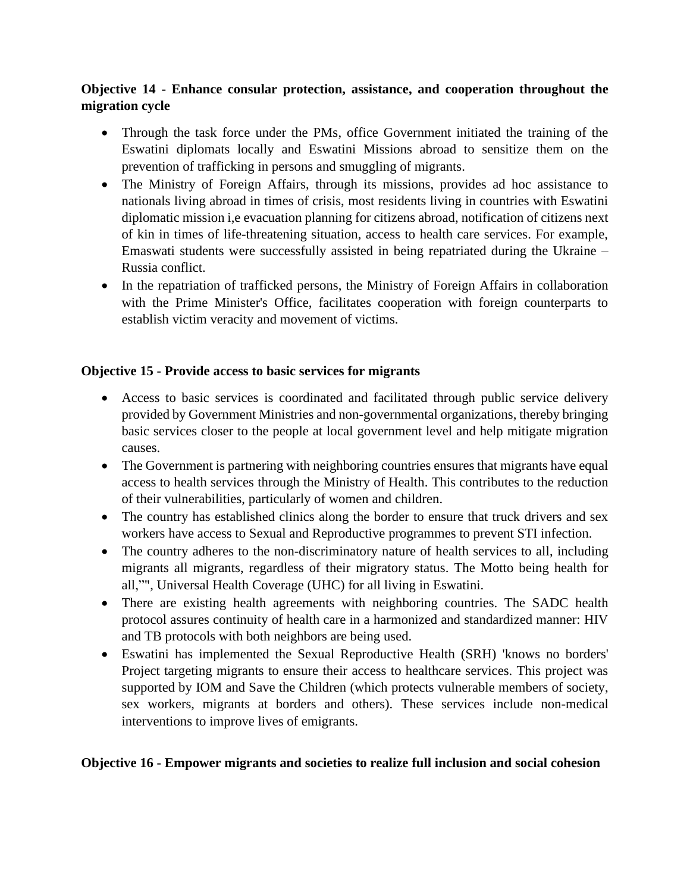## **Objective 14 - Enhance consular protection, assistance, and cooperation throughout the migration cycle**

- Through the task force under the PMs, office Government initiated the training of the Eswatini diplomats locally and Eswatini Missions abroad to sensitize them on the prevention of trafficking in persons and smuggling of migrants.
- The Ministry of Foreign Affairs, through its missions, provides ad hoc assistance to nationals living abroad in times of crisis, most residents living in countries with Eswatini diplomatic mission i,e evacuation planning for citizens abroad, notification of citizens next of kin in times of life-threatening situation, access to health care services. For example, Emaswati students were successfully assisted in being repatriated during the Ukraine – Russia conflict.
- In the repatriation of trafficked persons, the Ministry of Foreign Affairs in collaboration with the Prime Minister's Office, facilitates cooperation with foreign counterparts to establish victim veracity and movement of victims.

## **Objective 15 - Provide access to basic services for migrants**

- Access to basic services is coordinated and facilitated through public service delivery provided by Government Ministries and non-governmental organizations, thereby bringing basic services closer to the people at local government level and help mitigate migration causes.
- The Government is partnering with neighboring countries ensures that migrants have equal access to health services through the Ministry of Health. This contributes to the reduction of their vulnerabilities, particularly of women and children.
- The country has established clinics along the border to ensure that truck drivers and sex workers have access to Sexual and Reproductive programmes to prevent STI infection.
- The country adheres to the non-discriminatory nature of health services to all, including migrants all migrants, regardless of their migratory status. The Motto being health for all,"", Universal Health Coverage (UHC) for all living in Eswatini.
- There are existing health agreements with neighboring countries. The SADC health protocol assures continuity of health care in a harmonized and standardized manner: HIV and TB protocols with both neighbors are being used.
- Eswatini has implemented the Sexual Reproductive Health (SRH) 'knows no borders' Project targeting migrants to ensure their access to healthcare services. This project was supported by IOM and Save the Children (which protects vulnerable members of society, sex workers, migrants at borders and others). These services include non-medical interventions to improve lives of emigrants.

#### **Objective 16 - Empower migrants and societies to realize full inclusion and social cohesion**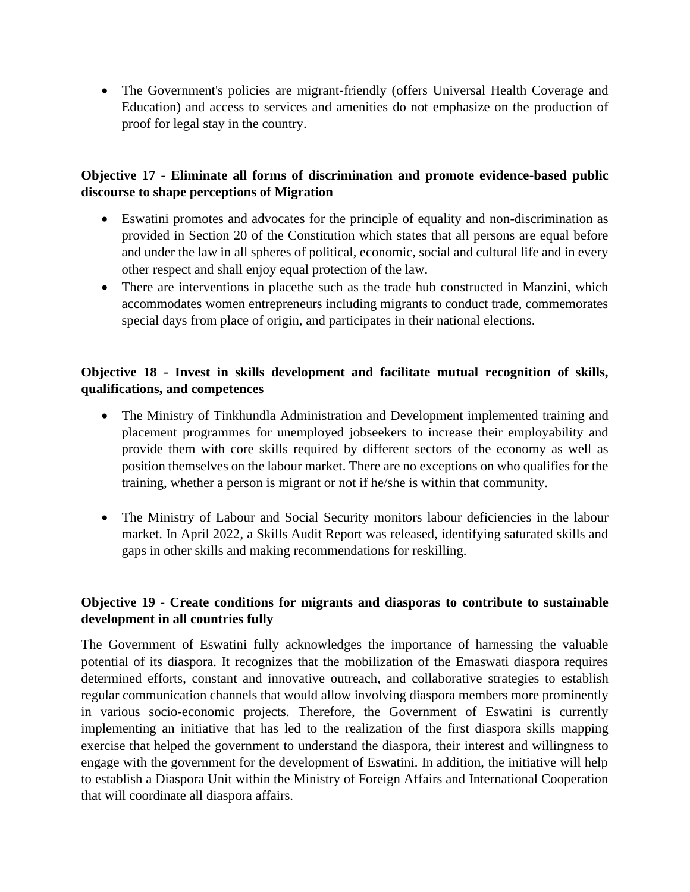• The Government's policies are migrant-friendly (offers Universal Health Coverage and Education) and access to services and amenities do not emphasize on the production of proof for legal stay in the country.

#### **Objective 17 - Eliminate all forms of discrimination and promote evidence-based public discourse to shape perceptions of Migration**

- Eswatini promotes and advocates for the principle of equality and non-discrimination as provided in Section 20 of the Constitution which states that all persons are equal before and under the law in all spheres of political, economic, social and cultural life and in every other respect and shall enjoy equal protection of the law.
- There are interventions in placethe such as the trade hub constructed in Manzini, which accommodates women entrepreneurs including migrants to conduct trade, commemorates special days from place of origin, and participates in their national elections.

## **Objective 18 - Invest in skills development and facilitate mutual recognition of skills, qualifications, and competences**

- The Ministry of Tinkhundla Administration and Development implemented training and placement programmes for unemployed jobseekers to increase their employability and provide them with core skills required by different sectors of the economy as well as position themselves on the labour market. There are no exceptions on who qualifies for the training, whether a person is migrant or not if he/she is within that community.
- The Ministry of Labour and Social Security monitors labour deficiencies in the labour market. In April 2022, a Skills Audit Report was released, identifying saturated skills and gaps in other skills and making recommendations for reskilling.

## **Objective 19 - Create conditions for migrants and diasporas to contribute to sustainable development in all countries fully**

The Government of Eswatini fully acknowledges the importance of harnessing the valuable potential of its diaspora. It recognizes that the mobilization of the Emaswati diaspora requires determined efforts, constant and innovative outreach, and collaborative strategies to establish regular communication channels that would allow involving diaspora members more prominently in various socio-economic projects. Therefore, the Government of Eswatini is currently implementing an initiative that has led to the realization of the first diaspora skills mapping exercise that helped the government to understand the diaspora, their interest and willingness to engage with the government for the development of Eswatini. In addition, the initiative will help to establish a Diaspora Unit within the Ministry of Foreign Affairs and International Cooperation that will coordinate all diaspora affairs.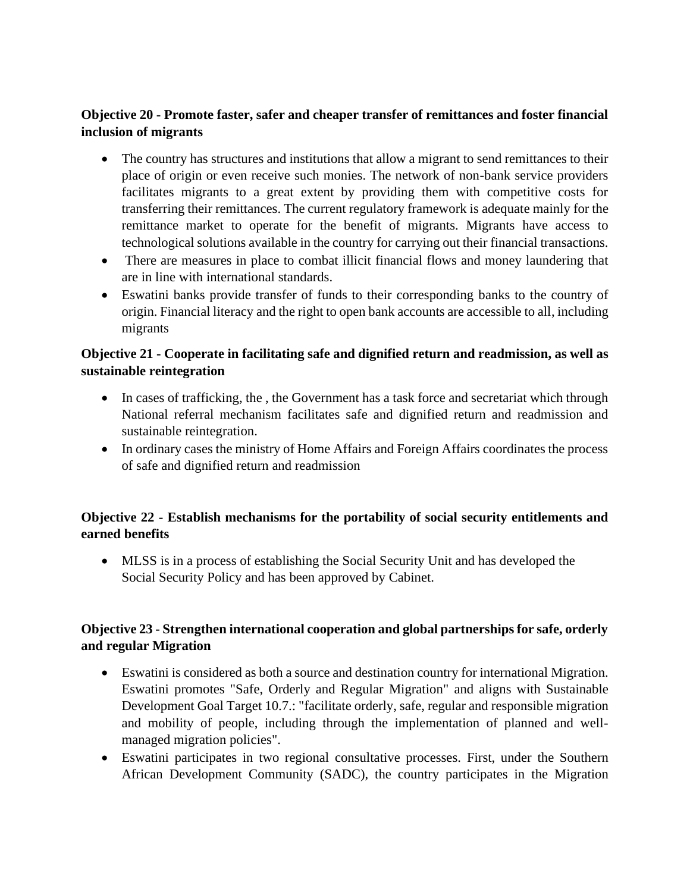## **Objective 20 - Promote faster, safer and cheaper transfer of remittances and foster financial inclusion of migrants**

- The country has structures and institutions that allow a migrant to send remittances to their place of origin or even receive such monies. The network of non-bank service providers facilitates migrants to a great extent by providing them with competitive costs for transferring their remittances. The current regulatory framework is adequate mainly for the remittance market to operate for the benefit of migrants. Migrants have access to technological solutions available in the country for carrying out their financial transactions.
- There are measures in place to combat illicit financial flows and money laundering that are in line with international standards.
- Eswatini banks provide transfer of funds to their corresponding banks to the country of origin. Financial literacy and the right to open bank accounts are accessible to all, including migrants

## **Objective 21 - Cooperate in facilitating safe and dignified return and readmission, as well as sustainable reintegration**

- In cases of trafficking, the , the Government has a task force and secretariat which through National referral mechanism facilitates safe and dignified return and readmission and sustainable reintegration.
- In ordinary cases the ministry of Home Affairs and Foreign Affairs coordinates the process of safe and dignified return and readmission

## **Objective 22 - Establish mechanisms for the portability of social security entitlements and earned benefits**

• MLSS is in a process of establishing the Social Security Unit and has developed the Social Security Policy and has been approved by Cabinet.

## **Objective 23 - Strengthen international cooperation and global partnerships for safe, orderly and regular Migration**

- Eswatini is considered as both a source and destination country for international Migration. Eswatini promotes "Safe, Orderly and Regular Migration" and aligns with Sustainable Development Goal Target 10.7.: "facilitate orderly, safe, regular and responsible migration and mobility of people, including through the implementation of planned and wellmanaged migration policies".
- Eswatini participates in two regional consultative processes. First, under the Southern African Development Community (SADC), the country participates in the Migration